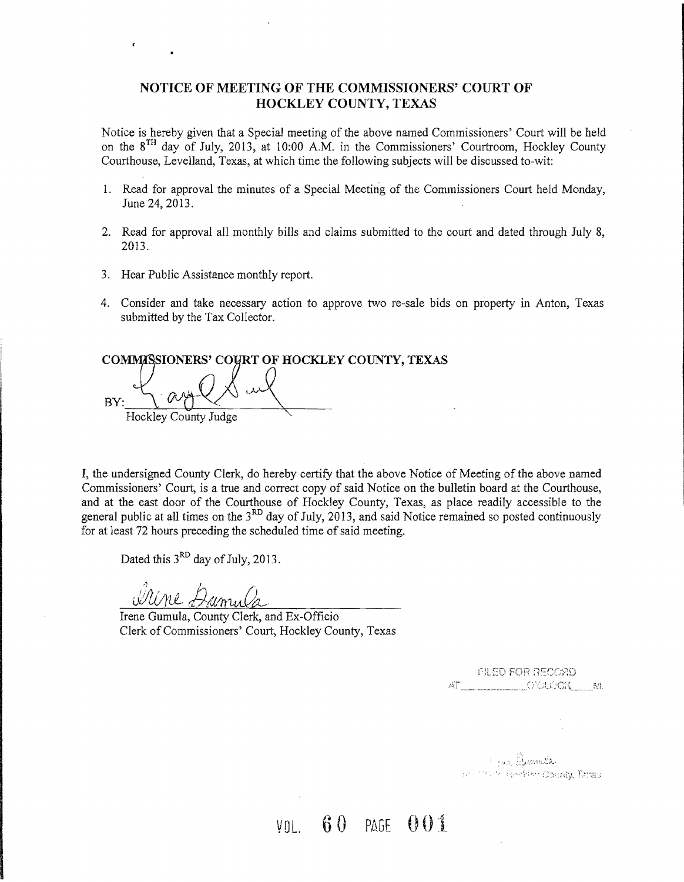### **NOTICE OF MEETING OF THE COMMISSIONERS' COURT OF HOCKLEY COUNTY, TEXAS**

Notice is hereby given that a Special meeting of the above named Commissioners' Court will be held on the 8TH day of July, 2013, at 10:00 A.M. in the Commissioners' Courtroom, Hockley County Courthouse, Levelland, Texas, at which time the following subjects will be discussed to-wit:

- 1. Read for approval the minutes of a Special Meeting of the Commissioners Court held Monday, June 24,2013.
- 2. Read for approval all monthly bills and claims submitted to the court and dated through July 8, 2013.
- 3. Hear Public Assistance monthly report.
- 4. Consider and take necessary action to approve two re-sale bids on property in Anton, Texas submitted by the Tax Collector.

COMMASSIONERS' COYRT OF HOCKLEY COUNTY, TEXAS BY, Hockley County Judge  $Q$  $\chi$  or  $Q$ 

I, the undersigned County Clerk, do hereby certify that the above Notice of Meeting of the above named Commissioners' Court, is a true and correct copy of said Notice on the bulletin board at the Courthouse, and at the east door of the Courthouse of Hockley County, Texas, as place readily accessible to the general public at all times on the  $3<sup>RD</sup>$  day of July, 2013, and said Notice remained so posted continuously for at least 72 hours preceding the scheduled time of said meeting.

Dated this  $3<sup>RD</sup>$  day of July, 2013.

WUME.

Irene Gumula, County Clerk, and Ex-Officio Clerk of Commissioners' Court, Hockley County, Texas

FILED FOR RECORD AT MELLET OVERGIST ME

Cons Bumula ment of resident County, Taras

vni. 60 PAGE 001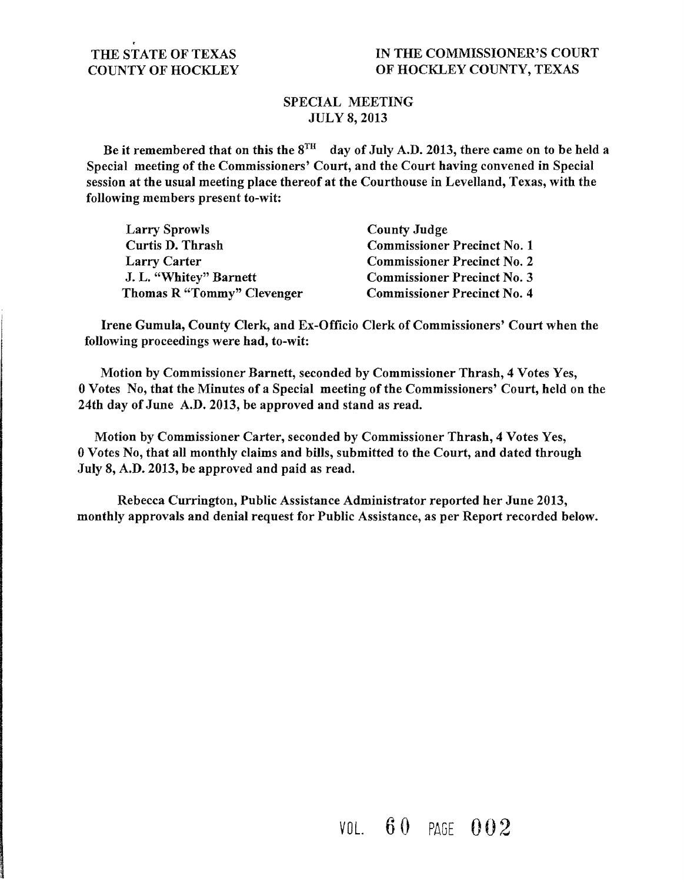## SPECIAL MEETING JULY 8,2013

Be it remembered that on this the  $8^{TH}$  day of July A.D. 2013, there came on to be held a Special meeting of the Commissioners' Court, and the Court having convened in Special session at the usual meeting place thereof at the Courthouse in Levelland, Texas, with the following members present to-wit:

| <b>Larry Sprowls</b>       | <b>County Judge</b>                |
|----------------------------|------------------------------------|
| Curtis D. Thrash           | <b>Commissioner Precinct No. 1</b> |
| <b>Larry Carter</b>        | <b>Commissioner Precinct No. 2</b> |
| J. L. "Whitey" Barnett     | <b>Commissioner Precinct No. 3</b> |
| Thomas R "Tommy" Clevenger | <b>Commissioner Precinct No. 4</b> |

Irene Gumula, County Clerk, and Ex-Officio Clerk of Commissioners' Court when the following proceedings were had, to-wit:

Motion by Commissioner Barnett, seconded by Commissioner Thrash, 4 Votes Yes, 0 Votes No, that the Minutes of a Special meeting of the Commissioners' Court, held on the 24th day of June A.D. 2013, be approved and stand as read.

Motion by Commissioner Carter, seconded by Commissioner Thrash, 4 Votes Yes, 0 Votes No, that all monthly claims and bills, submitted to the Court, and dated through July 8, A.D. 2013, be approved and paid as read.

Rebecca Currington, Public Assistance Administrator reported her June 2013, monthly approvals and denial request for Public Assistance, as per Report recorded below.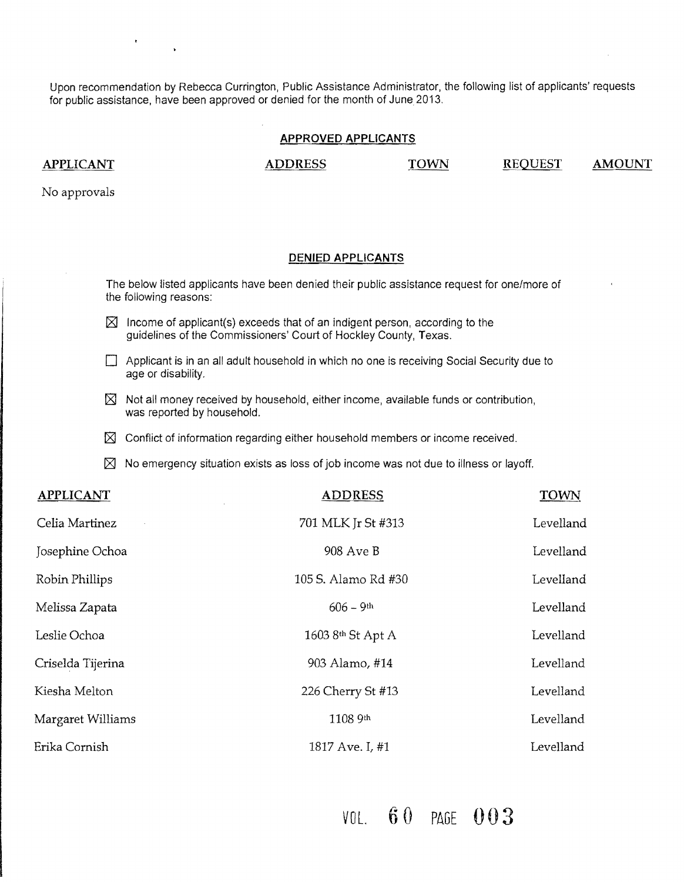Upon recommendation by Rebecca Currington, Public Assistance Administrator, the following list of applicants' requests for public assistance, have been approved or denied for the month of June 2013.

#### **APPROVED APPLICANTS**

APPLICANT ADDRESS TOWN REQUEST AMOUNT

No approvals

#### **DENIED APPLICANTS**

The below listed applicants have been denied their public assistance request for one/more of the following reasons:

- $[2]$  Income of applicant(s) exceeds that of an indigent person, according to the guidelines of the Commissioners' Court of Hockley County, Texas.
- $\Box$  Applicant is in an all adult household in which no one is receiving Social Security due to age or disability.
- $[\times]$  Not all money received by household, either income, available funds or contribution, was reported by household.
- $\boxtimes$  Conflict of information regarding either household members or income received.
- $\boxtimes$  No emergency situation exists as loss of job income was not due to illness or layoff.

| <b>APPLICANT</b>  | <b>ADDRESS</b>      | <b>TOWN</b> |
|-------------------|---------------------|-------------|
| Celia Martinez    | 701 MLK Jr St #313  | Levelland   |
| Josephine Ochoa   | 908 Ave B           | Levelland   |
| Robin Phillips    | 105 S. Alamo Rd #30 | Levelland   |
| Melissa Zapata    | $606 - 9$ th        | Levelland   |
| Leslie Ochoa      | 1603 8th St Apt A   | Levelland   |
| Criselda Tijerina | 903 Alamo, #14      | Levelland   |
| Kiesha Melton     | 226 Cherry St #13   | Levelland   |
| Margaret Williams | 1108 9th            | Levelland   |
| Erika Cornish     | 1817 Ave. I, #1     | Levelland   |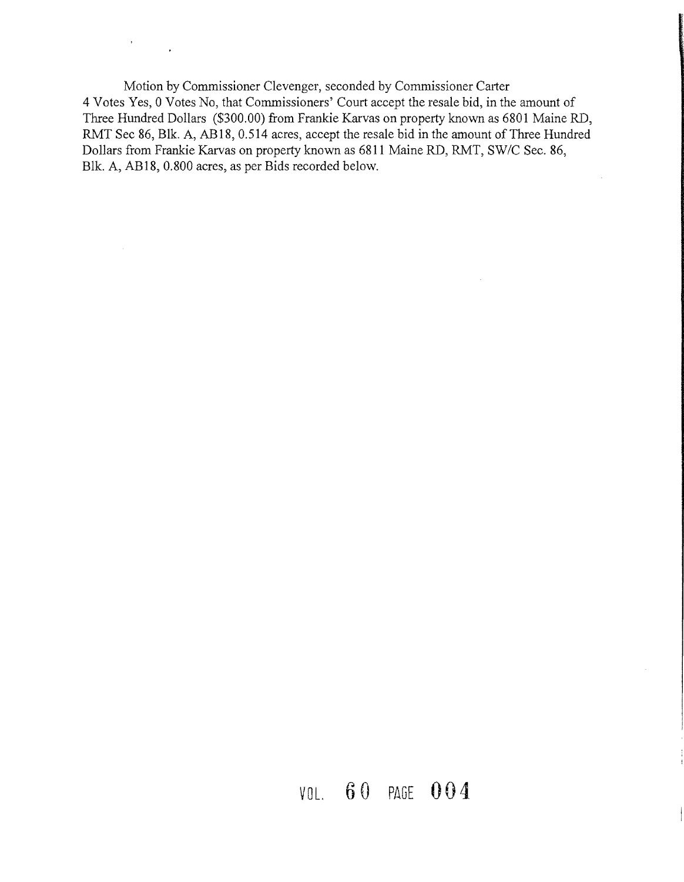Motion by Commissioner Clevenger, seconded by Commissioner Carter 4 Votes Yes, 0 Votes No, that Commissioners' Court accept the resale bid, in the amount of Three Hundred Dollars (\$300.00) from Frankie Karvas on property known as 6801 Maine RD, RMT Sec 86, Blk. A, ABI8, 0.514 acres, accept the resale bid in the amount of Three Hundred Dollars from Frankie Karvas on property known as 6811 Maine RD, RMT, SW/C Sec. 86, Blk. A, AB 18, 0.800 acres, as per Bids recorded below.

 $\hat{\mathcal{L}}$ 

 $\mathcal{F}_{\rm{max}}$  .

 $\hat{\boldsymbol{\theta}}$ 

# VOL. 6 0 PAGE 0 0 4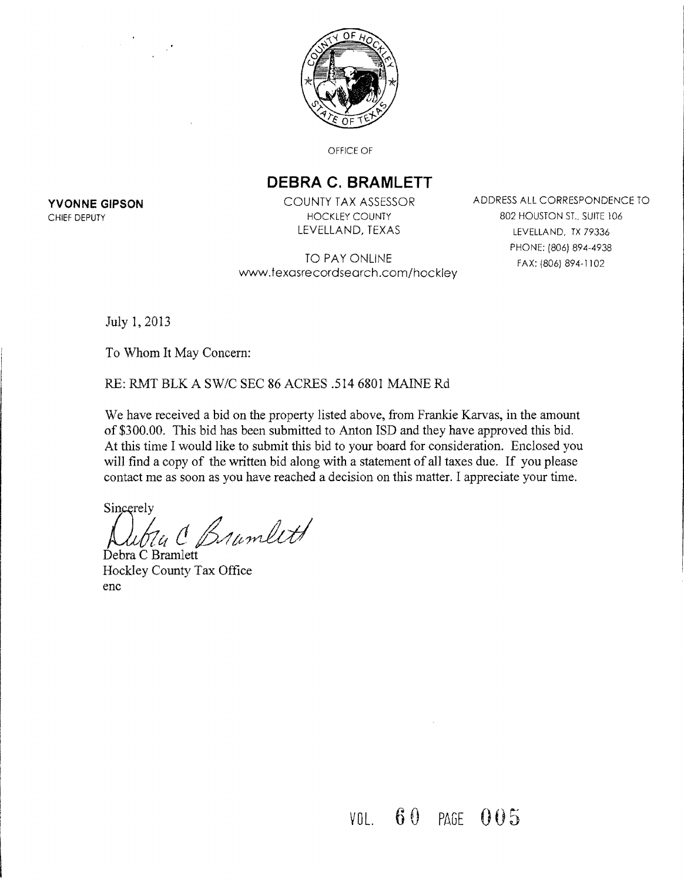

OFFICE OF

## **DEBRA C. BRAMLETT**

TO PAY ONLINE www.fexasrecordsearch.com/hockley

**YVONNE GIPSON COUNTY TAX ASSESSOR** ADDRESS ALL CORRESPONDENCE TO CHIEF DEPUTY **EXECUTE 106** HOCKLEY COUNTY **1000 BO2 HOUSTON ST., SUITE 106** LEVELLAND, TEXAS LEVELLAND, TX 79336 PHONE: (806) 894-4938 FAX: (806) 894-1102

July 1,2013

To Whom It May Concern:

RE: RMT BLK A SW/C SEC 86 ACRES .5146801 MAINE Rd

We have received a bid on the property listed above, from Frankie Karvas, in the amount of \$300.00. This bid has been submitted to Anton ISD and they have approved this bid. At this time I would like to submit this bid to your board for consideration. Enclosed you will find a copy of the written bid along with a statement of all taxes due. If you please contact me as soon as you have reached a decision on this matter. I appreciate your time.

Sincerely

*)JuNc!* e~~/?1dtd Debra C Bramlett

Hockley County Tax Office enc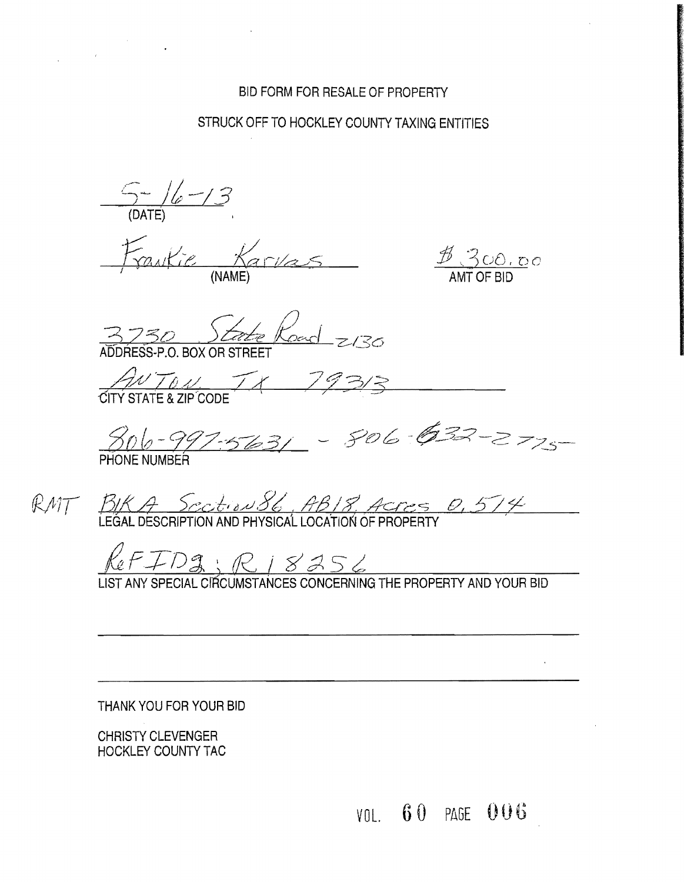## BID FORM FOR RESALE OF PROPERTY

## STRUCK OFF TO HOCKLEY COUNTY TAXING ENTITIES

C)- //; *-13*  (DATE)

(NAME) MANE AMT OF BID

 $\frac{\cancel{B}}{200.00}$ 

 $rac{1}{2}$  Koad  $z$ 130 **PO BOX OR STREET** 

 $\frac{1}{2}\sqrt{10}$  ...  $\sqrt{10}$ 29313

806-997-5631 - 806-632-2725

LEGAL DESCRIPTION AND PHYSICAL LOCATION OF PROPERTY '' I

 $RFFDS:RISASG$ 

LIST ANY SPECIAL CIRCUMSTANCES CONCERNING THE PROPERTY AND YOUR BID

THANK YOU FOR YOUR BID

CHRISTY CLEVENGER HOCKLEY COUNTY TAC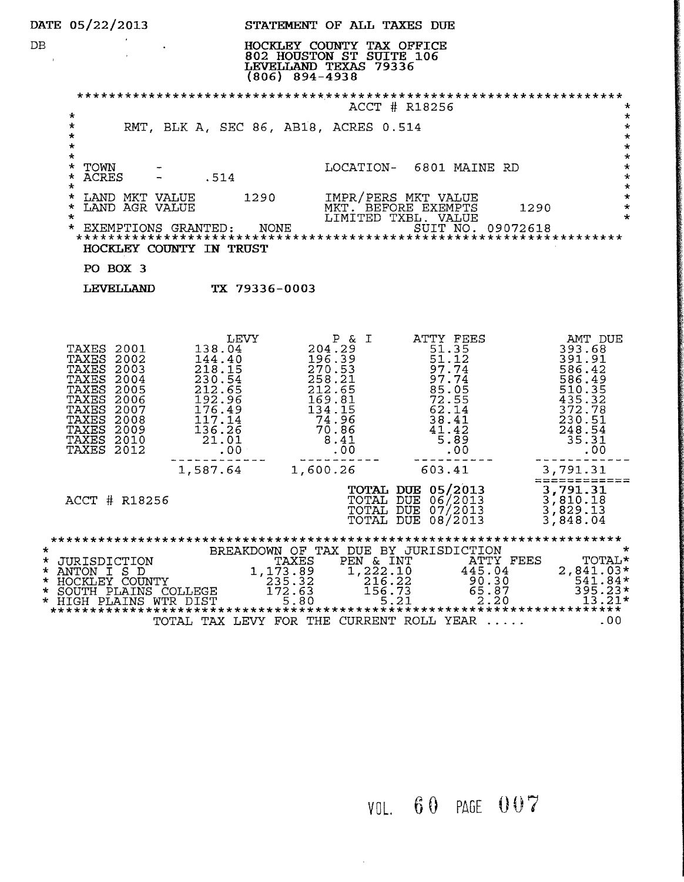|                              | DATE 05/22/2013                                                                                                                                                                                                  |                                                                                                                                                                            |                                               | STATEMENT OF ALL TAXES DUE                                                                                     |                   |                                                                                                                          |      |                                                                                                                    |
|------------------------------|------------------------------------------------------------------------------------------------------------------------------------------------------------------------------------------------------------------|----------------------------------------------------------------------------------------------------------------------------------------------------------------------------|-----------------------------------------------|----------------------------------------------------------------------------------------------------------------|-------------------|--------------------------------------------------------------------------------------------------------------------------|------|--------------------------------------------------------------------------------------------------------------------|
| DB.                          |                                                                                                                                                                                                                  |                                                                                                                                                                            | $(806)$ 894-4938                              | HOCKLEY COUNTY TAX OFFICE<br>802 HOUSTON ST SUITE 106<br>LEVELLAND TEXAS 79336                                 |                   |                                                                                                                          |      |                                                                                                                    |
|                              |                                                                                                                                                                                                                  |                                                                                                                                                                            |                                               |                                                                                                                | ACCT # R18256     |                                                                                                                          |      | *                                                                                                                  |
|                              | $\star$<br>$\star$<br>$\star$<br>$\star$                                                                                                                                                                         | RMT, BLK A, SEC 86, AB18, ACRES 0.514                                                                                                                                      |                                               |                                                                                                                |                   |                                                                                                                          |      | $\star$<br>$\star$<br>$\star$<br>$\star$                                                                           |
|                              | $\star$<br>*<br>TOWN<br>$\star$<br>ACRES<br>$\star$                                                                                                                                                              | .514                                                                                                                                                                       |                                               | LOCATION- 6801 MAINE RD                                                                                        |                   |                                                                                                                          |      | $\star$<br>$\star$<br>$\star$<br>$\star$                                                                           |
|                              | LAND MKT VALUE 1290<br>$^\star$<br>$\star$<br>LAND AGR VALUE<br>$\star$                                                                                                                                          |                                                                                                                                                                            |                                               | IMPR/PERS MKT VALUE<br>MKT. BEFORE EXEMPTS<br>LIMITED TXBL. VALUE                                              |                   |                                                                                                                          | 1290 | $\star$<br>$\star$<br>$\star$                                                                                      |
|                              | $\star$                                                                                                                                                                                                          | HOCKLEY COUNTY IN TRUST                                                                                                                                                    |                                               |                                                                                                                |                   |                                                                                                                          |      |                                                                                                                    |
|                              | PO BOX 3                                                                                                                                                                                                         |                                                                                                                                                                            |                                               |                                                                                                                |                   |                                                                                                                          |      |                                                                                                                    |
|                              |                                                                                                                                                                                                                  | LEVELLAND TX 79336-0003                                                                                                                                                    |                                               |                                                                                                                |                   |                                                                                                                          |      |                                                                                                                    |
|                              | TAXES 2001<br><b>TAXES 2002</b><br>TAXES<br>2003<br><b>TAXES 2004</b><br>TAXES<br>2005<br><b>TAXES 2006</b><br><b>TAXES</b><br>2007<br><b>TAXES 2008</b><br>TAXES 2009<br><b>TAXES 2010</b><br><b>TAXES 2012</b> | LEVY<br>138.04<br>$144.40$<br>$218.15$<br>$230.54$<br>$230.54$<br>$212.65$<br>176.49<br>117.14<br>$117.14$<br>$136.26$<br>21.01<br>$\begin{array}{c} 01 \\ 00 \end{array}$ |                                               | P & I<br>204.29<br>196.39<br>270.53<br>278.21<br>212.65<br>169.81<br>$134.15$<br>74.96<br>70.86<br>8.41<br>.00 |                   | ATTY FEES<br>51.35<br>51.32<br>51.12<br>97.74<br>95.95<br>83.95<br>72.55<br>62.14<br>$38.41$<br>$41.42$<br>$5.89$<br>.00 |      | AMT DUE<br>393.68<br>391.91<br>586.42<br>586.49<br>510.35<br>435.32<br>372.78<br>230.51<br>248.54<br>35.31<br>.00. |
|                              | ACCT # R18256                                                                                                                                                                                                    | 1,587.64                                                                                                                                                                   |                                               | 1,600.26 603.41                                                                                                | TOTAL DUE 08/2013 | <b>TOTAL DUE 05/2013</b><br>TOTAL DUE 06/2013<br>TOTAL DUE 07/2013                                                       |      | 3,791.31<br>=============<br>3,791.31<br>3,810.18<br>3,829.13<br>3,848.04                                          |
| $\star$<br>*<br>*<br>$\star$ | JURISDICTION<br>* ANTON I S D<br>HOCKLEY COUNTY<br>SOUTH PLAINS COLLEGE<br>* HIGH PLAINS WTR DIST                                                                                                                | TOTAL TAX LEVY FOR THE CURRENT ROLL YEAR                                                                                                                                   | TAXES<br>1,173.89<br>235.32<br>172.63<br>5.80 | BREAKDOWN OF TAX DUE BY JURISDICTION<br>PEN & INT<br>1,222.10<br>216.22<br>156.73                              | 5.21              | ATTY FEES<br>445.04<br>90.30<br>65.87<br>2.20                                                                            |      | ÷<br><b>TOTAL*</b><br>$2,841.03*$<br>541.84*<br>$395.23*$<br>13.21*<br>.00                                         |

VOL. 6 0 PAGE 0 U 7

 $\hat{\mathcal{A}}$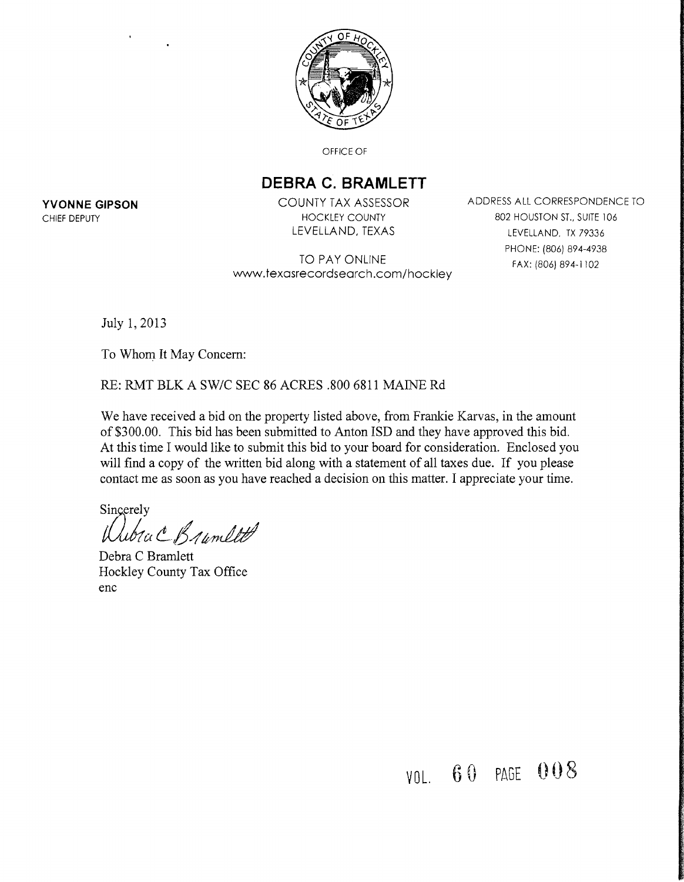

OFFICE OF

## **DEBRA C. BRAMLETT**

TO PAY ONLINE www.texasrecordsearch.com/hockley

**YVONNE GIPSON COUNTY TAX ASSESSOR** ADDRESS ALL CORRESPONDENCE TO CHIEF DEPUTY **EXECUTE A SUITE 104** HOCKLEY COUNTY **A HOUSTON ST., SUITE 106** LEVELLAND, TEXAS LEVELLAND, TX 79336 PHONE: (806) 894-4938 FAX: (806) 894-1 102

July 1,2013

To Whom It May Concern:

RE: RMT BLK A SW/C SEC 86 ACRES .800 6811 MAINE Rd

We have received a bid on the property listed above, from Frankie Karvas, in the amount of \$300.00. This bid has been submitted to Anton ISD and they have approved this bid. At this time I would like to submit this bid to your board for consideration. Enclosed you will find a copy of the written bid along with a statement of all taxes due. If you please contact me as soon as you have reached a decision on this matter. I appreciate your time.

Sincerely

*tuGtka .. ;f4ItJn&#'* 

Debra C Bramlett Hockley County Tax Office enc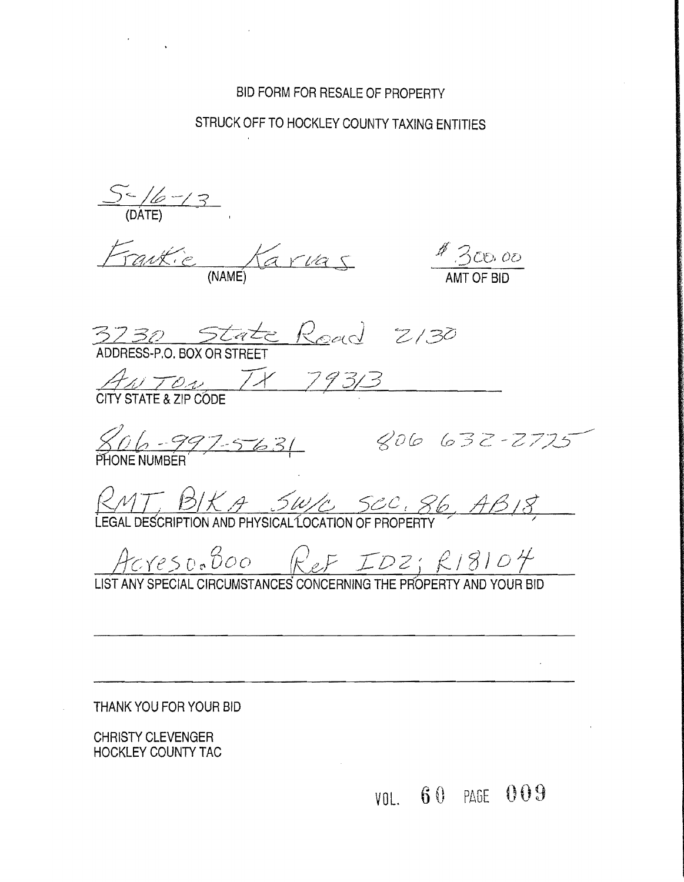## BID FORM FOR RESALE OF PROPERTY

## STRUCK OFF TO HOCKLEY COUNTY TAXING ENTITIES

 $5 - 18 - 3$ 

Frankie Karvas

 $180000$ 

3730 State Read 2/30

ANTON TX 79313

806-997-5631

806 632-2725

 $RMT$ ,  $BKA$ ,  $SWL$ ,  $Sec$ ,  $86$ ,  $AB/8$ ,  $EBAL$  DESCRIPTION AND PHYSICAL LOCATION OF PROPERTY

Acreso. Boo Ref IDZ; R18104

LIST ANY SPECIAL CIRCUMSTANCES CONCERNING THE PROPERTY AND YOUR BID

THANK YOU FOR YOUR BID

**CHRISTY CLEVENGER HOCKLEY COUNTY TAC**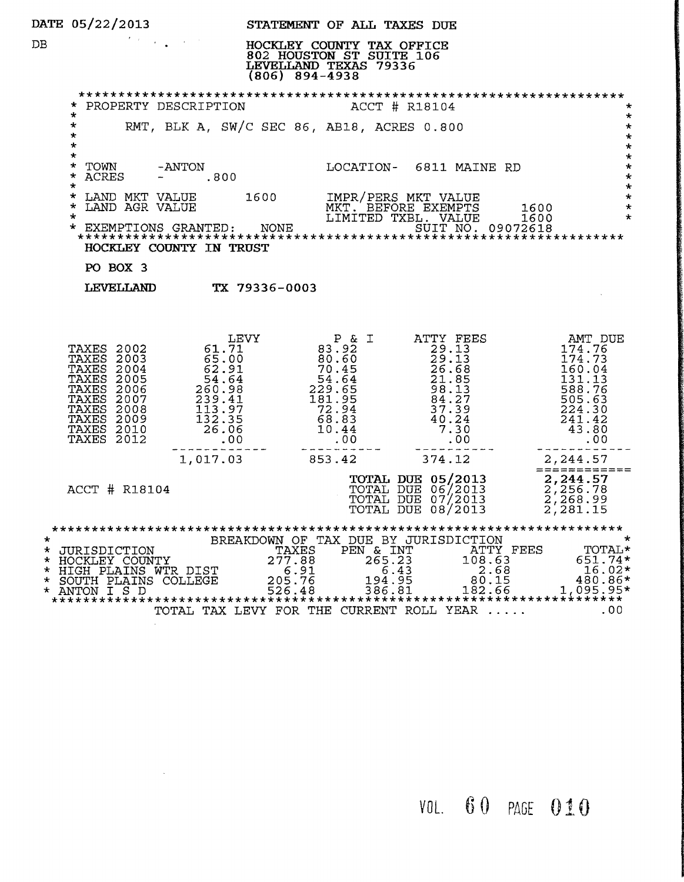|                    | <b>DATE 05/22/2013</b>                                                                                                                                                                 |                                                                                                                                                                              | STATEMENT OF ALL TAXES DUE                                                                                                                                                                                     |                                                                                                                                            |                                                                                                                     |
|--------------------|----------------------------------------------------------------------------------------------------------------------------------------------------------------------------------------|------------------------------------------------------------------------------------------------------------------------------------------------------------------------------|----------------------------------------------------------------------------------------------------------------------------------------------------------------------------------------------------------------|--------------------------------------------------------------------------------------------------------------------------------------------|---------------------------------------------------------------------------------------------------------------------|
| DB.                |                                                                                                                                                                                        | $(806)$ 894-4938                                                                                                                                                             | HOCKLEY COUNTY TAX OFFICE<br>802 HOUSTON ST SUITE 106<br>LEVELLAND TEXAS 79336                                                                                                                                 |                                                                                                                                            |                                                                                                                     |
|                    | PROPERTY DESCRIPTION                                                                                                                                                                   |                                                                                                                                                                              |                                                                                                                                                                                                                | ACCT # R18104                                                                                                                              | $\star$                                                                                                             |
|                    | $\star$<br>$\star$<br>$\star$<br>$\star$                                                                                                                                               | RMT, BLK A, SW/C SEC 86, AB18, ACRES 0.800                                                                                                                                   |                                                                                                                                                                                                                |                                                                                                                                            | $\ast$<br>$\star$<br>$\star$<br>$\star$                                                                             |
|                    | $\star$<br>$\star$<br>TOWN<br>-ANTON<br>$\star$<br>ACRES<br>$- 0.800$<br>$^\star$                                                                                                      |                                                                                                                                                                              |                                                                                                                                                                                                                | LOCATION- 6811 MAINE RD                                                                                                                    | $\star$<br>$\star$<br>$\star$<br>$\star$                                                                            |
|                    | LAND MKT VALUE 1600<br>LAND AGR VALUE 1600<br>$\star$<br>LAND AGR VALUE<br>*<br>$\star$                                                                                                |                                                                                                                                                                              |                                                                                                                                                                                                                | IMPR/PERS MKT VALUE<br>MKT. BEFORE EXEMPTS<br>LIMITED TXBL. VALUE                                                                          | $\star$<br>1600<br>$\star$<br>$\star$<br>1600                                                                       |
|                    | *.<br>HOCKLEY COUNTY IN TRUST                                                                                                                                                          |                                                                                                                                                                              |                                                                                                                                                                                                                |                                                                                                                                            |                                                                                                                     |
|                    | PO BOX 3                                                                                                                                                                               |                                                                                                                                                                              |                                                                                                                                                                                                                |                                                                                                                                            |                                                                                                                     |
|                    | LEVELLAND TX 79336-0003                                                                                                                                                                |                                                                                                                                                                              |                                                                                                                                                                                                                |                                                                                                                                            |                                                                                                                     |
|                    | TAXES 2002<br><b>TAXES</b><br>2003<br>TAXES<br>2004<br>TAXES<br>2005<br><b>TAXES 2006</b><br>TAXES<br>2007<br>TAXES<br>2008<br>TAXES<br>2009<br><b>TAXES 2010</b><br><b>TAXES 2012</b> | LEVY<br>61.71<br>$65.00$<br>$62.91$<br>$54.64$<br>$260.99$<br>62.91<br>260.98<br>$239.41$<br>$113.97$<br>$132.35$<br>$26.06$<br>$00$<br>$\frac{1}{26.06}$<br>.00<br>1,017.03 | $\begin{smallmatrix} & P & \& \texttt{I} \\ & \texttt{83.92} \end{smallmatrix}$<br>$\begin{array}{r} 680.52 \ 80.61 \ 70.45 \ 229.65 \ 181.95 \ 239.54 \ 72.94 \ 68.83 \ 10.44 \ \end{array}$<br>.00<br>853.42 | P & I ATTY FEES<br>$64.27$<br>$37.39$<br>$40.24$<br>$7.30$<br>$00$<br>$75$<br>374.12                                                       | AMT DUE<br>174.76<br>174.73<br>160.04<br>131.13<br>588.76<br>505.63<br>224.30<br>241.42<br>43.80<br>.00<br>2,244.57 |
|                    | ACCT # R18104                                                                                                                                                                          |                                                                                                                                                                              |                                                                                                                                                                                                                | <b>TOTAL DUE 05/2013</b><br>TOTAL DUE 06/2013<br>TOTAL DUE 07/2013<br>TOTAL DUE 07/2013<br>TOTAL DUE 08/2013<br>2,268.99<br>2,281.15       |                                                                                                                     |
| $\star$<br>$\star$ | * JURISDICTION<br>* HOCKLEY COUNTY<br>* HIGH PLAINS WTR DIST<br>SOUTH PLAINS COLLEGE<br>* ANTON I S D                                                                                  | TAXES<br>277.88<br>6.91<br>205.76<br>526.48                                                                                                                                  | PEN & INT<br>265.23<br>194.95<br>386.81                                                                                                                                                                        | BREAKDOWN OF TAX DUE BY JURISDICTION<br>ATTY FEES<br>108.63<br>6.43<br>2.68<br>80.15<br>182.66<br>TOTAL TAX LEVY FOR THE CURRENT ROLL YEAR | $\star$<br>TOTAL*<br>651.74*<br>$16.02*$<br>480.86*<br>$1.095.95*$<br>.00                                           |

 $\frac{1}{2}$  ,  $\frac{1}{2}$  ,  $\frac{1}{2}$